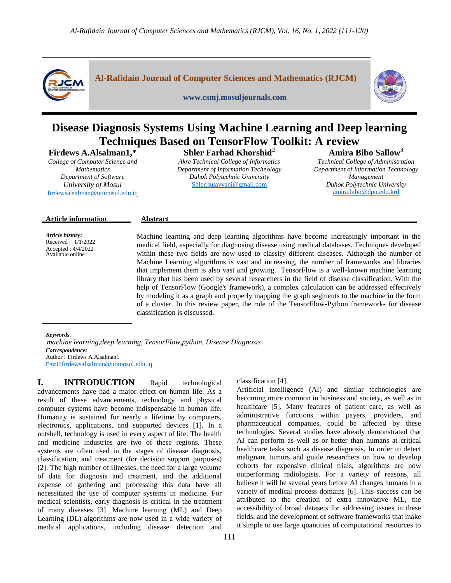

**Al-Rafidain Journal of Computer Sciences and Mathematics (RJCM)**

**www.csmj.mosuljournals.com**



# **Disease Diagnosis Systems Using Machine Learning and Deep learning Techniques Based on TensorFlow Toolkit: A review**

**Firdews A.Alsalman1,\*** 

*College of Computer Science and Mathematics Department of Software University of Mosul* [firdewsalsalman@uomosul.edu.iq](mailto:firdewsalsalman@uomosul.edu.iq)

## **Shler Farhad Khorshid<sup>2</sup>**

*Akre Technical College of Informatics Department of Information Technology Duhok Polytechnic University* [Shler.sulayvani@gmail.com](mailto:Shler.sulayvani@gmail.com)

## **Amira Bibo Sallow<sup>3</sup>**

*Technical College of Administration Department of Information Technology Management Duhok Polytechnic University*  [amira.bibo@dpu.edu.krd](mailto:amira.bibo@dpu.edu.krd)

#### **Article information Abstract**

*Article history:* Received : 1/1/2022 Accepted : 4/4/2022 Available online :

Machine learning and deep learning algorithms have become increasingly important in the medical field, especially for diagnosing disease using medical databases. Techniques developed within these two fields are now used to classify different diseases. Although the number of Machine Learning algorithms is vast and increasing, the number of frameworks and libraries that implement them is also vast and growing. TensorFlow is a well-known machine learning library that has been used by several researchers in the field of disease classification. With the help of TensorFlow (Google's framework), a complex calculation can be addressed effectively by modeling it as a graph and properly mapping the graph segments to the machine in the form of a cluster. In this review paper, the role of the TensorFlow-Python framework- for disease classification is discussed.

*Keywords*:

 *machine learning,deep learning, TensorFlow,python, Disease Diagnosis Correspondence:* Author : Firdews A.Alsalman1 Email:[firdewsalsalman@uomosul.edu.iq](mailto:firdewsalsalman@uomosul.edu.iq)

**I. INTRODUCTION** Rapid technological advancements have had a major effect on human life. As a result of these advancements, technology and physical computer systems have become indispensable in human life. Humanity is sustained for nearly a lifetime by computers, electronics, applications, and supported devices [1]. In a nutshell, technology is used in every aspect of life. The health and medicine industries are two of these regions. These systems are often used in the stages of disease diagnosis, classification, and treatment (for decision support purposes) [2]. The high number of illnesses, the need for a large volume of data for diagnosis and treatment, and the additional expense of gathering and processing this data have all necessitated the use of computer systems in medicine. For medical scientists, early diagnosis is critical in the treatment of many diseases [3]. Machine learning (ML) and Deep Learning (DL) algorithms are now used in a wide variety of medical applications, including disease detection and classification [4].

Artificial intelligence (AI) and similar technologies are becoming more common in business and society, as well as in healthcare [5]. Many features of patient care, as well as administrative functions within payers, providers, and pharmaceutical companies, could be affected by these technologies. Several studies have already demonstrated that AI can perform as well as or better than humans at critical healthcare tasks such as disease diagnosis. In order to detect malignant tumors and guide researchers on how to develop cohorts for expensive clinical trials, algorithms are now outperforming radiologists. For a variety of reasons, all believe it will be several years before AI changes humans in a variety of medical process domains [6]. This success can be attributed to the creation of extra innovative ML, the accessibility of broad datasets for addressing issues in these fields, and the development of software frameworks that make it simple to use large quantities of computational resources to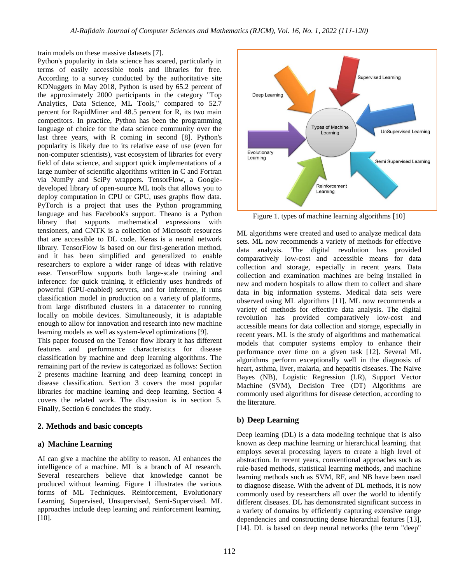train models on these massive datasets [7].

Python's popularity in data science has soared, particularly in terms of easily accessible tools and libraries for free. According to a survey conducted by the authoritative site KDNuggets in May 2018, Python is used by 65.2 percent of the approximately 2000 participants in the category "Top Analytics, Data Science, ML Tools," compared to 52.7 percent for RapidMiner and 48.5 percent for R, its two main competitors. In practice, Python has been the programming language of choice for the data science community over the last three years, with R coming in second [8]. Python's popularity is likely due to its relative ease of use (even for non-computer scientists), vast ecosystem of libraries for every field of data science, and support quick implementations of a large number of scientific algorithms written in C and Fortran via NumPy and SciPy wrappers. TensorFlow, a Googledeveloped library of open-source ML tools that allows you to deploy computation in CPU or GPU, uses graphs flow data. PyTorch is a project that uses the Python programming language and has Facebook's support. Theano is a Python library that supports mathematical expressions with tensioners, and CNTK is a collection of Microsoft resources that are accessible to DL code. Keras is a neural network library. TensorFlow is based on our first-generation method, and it has been simplified and generalized to enable researchers to explore a wider range of ideas with relative ease. TensorFlow supports both large-scale training and inference: for quick training, it efficiently uses hundreds of powerful (GPU-enabled) servers, and for inference, it runs classification model in production on a variety of platforms, from large distributed clusters in a datacenter to running locally on mobile devices. Simultaneously, it is adaptable enough to allow for innovation and research into new machine learning models as well as system-level optimizations [9].

This paper focused on the Tensor flow library it has different features and performance characteristics for disease classification by machine and deep learning algorithms. The remaining part of the review is categorized as follows: Section 2 presents machine learning and deep learning concept in disease classification. Section 3 covers the most popular libraries for machine learning and deep learning. Section 4 covers the related work. The discussion is in section 5. Finally, Section 6 concludes the study.

#### **2. Methods and basic concepts**

#### **a) Machine Learning**

AI can give a machine the ability to reason. AI enhances the intelligence of a machine. ML is a branch of AI research. Several researchers believe that knowledge cannot be produced without learning. Figure 1 illustrates the various forms of ML Techniques. Reinforcement, Evolutionary Learning, Supervised, Unsupervised, Semi-Supervised. ML approaches include deep learning and reinforcement learning. [10].



Figure 1. types of machine learning algorithms [10]

ML algorithms were created and used to analyze medical data sets. ML now recommends a variety of methods for effective data analysis. The digital revolution has provided comparatively low-cost and accessible means for data collection and storage, especially in recent years. Data collection and examination machines are being installed in new and modern hospitals to allow them to collect and share data in big information systems. Medical data sets were observed using ML algorithms [11]. ML now recommends a variety of methods for effective data analysis. The digital revolution has provided comparatively low-cost and accessible means for data collection and storage, especially in recent years. ML is the study of algorithms and mathematical models that computer systems employ to enhance their performance over time on a given task [12]. Several ML algorithms perform exceptionally well in the diagnosis of heart, asthma, liver, malaria, and hepatitis diseases. The Naive Bayes (NB), Logistic Regression (LR), Support Vector Machine (SVM), Decision Tree (DT) Algorithms are commonly used algorithms for disease detection, according to the literature.

### **b) Deep Learning**

Deep learning (DL) is a data modeling technique that is also known as deep machine learning or hierarchical learning. that employs several processing layers to create a high level of abstraction. In recent years, conventional approaches such as rule-based methods, statistical learning methods, and machine learning methods such as SVM, RF, and NB have been used to diagnose disease. With the advent of DL methods, it is now commonly used by researchers all over the world to identify different diseases. DL has demonstrated significant success in a variety of domains by efficiently capturing extensive range dependencies and constructing dense hierarchal features [13], [14]. DL is based on deep neural networks (the term "deep"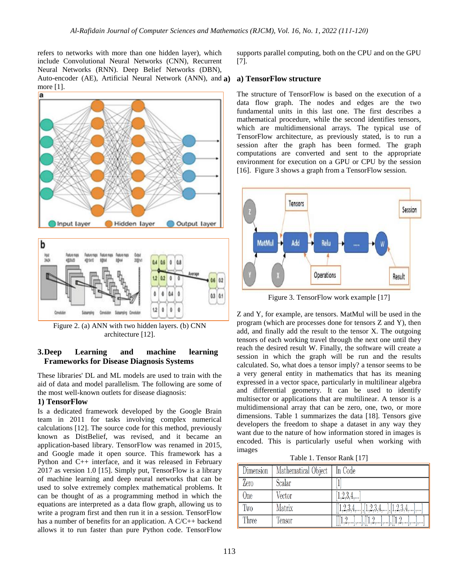refers to networks with more than one hidden layer), which include Convolutional Neural Networks (CNN), Recurrent Neural Networks (RNN). Deep Belief Networks (DBN), Auto-encoder (AE), Artificial Neural Network (ANN), and a) more [1].



Figure 2. (a) ANN with two hidden layers. (b) CNN architecture [12].

Subserping

## **3.Deep Learning and machine learning Frameworks for Disease Diagnosis Systems**

These libraries' DL and ML models are used to train with the aid of data and model parallelism. The following are some of the most well-known outlets for disease diagnosis:

#### **1) TensorFlow**

Conclute

Is a dedicated framework developed by the Google Brain team in 2011 for tasks involving complex numerical calculations [12]. The source code for this method, previously known as DistBelief, was revised, and it became an application-based library. TensorFlow was renamed in 2015, and Google made it open source. This framework has a Python and C++ interface, and it was released in February 2017 as version 1.0 [15]. Simply put, TensorFlow is a library of machine learning and deep neural networks that can be used to solve extremely complex mathematical problems. It can be thought of as a programming method in which the equations are interpreted as a data flow graph, allowing us to write a program first and then run it in a session. TensorFlow has a number of benefits for an application. A C/C++ backend allows it to run faster than pure Python code. TensorFlow

supports parallel computing, both on the CPU and on the GPU [7].

#### **a) a) TensorFlow structure**

The structure of TensorFlow is based on the execution of a data flow graph. The nodes and edges are the two fundamental units in this last one. The first describes a mathematical procedure, while the second identifies tensors, which are multidimensional arrays. The typical use of TensorFlow architecture, as previously stated, is to run a session after the graph has been formed. The graph computations are converted and sent to the appropriate environment for execution on a GPU or CPU by the session [16]. Figure 3 shows a graph from a TensorFlow session.



Figure 3. TensorFlow work example [17]

Z and Y, for example, are tensors. MatMul will be used in the program (which are processes done for tensors Z and Y), then add, and finally add the result to the tensor X. The outgoing tensors of each working travel through the next one until they reach the desired result W. Finally, the software will create a session in which the graph will be run and the results calculated. So, what does a tensor imply? a tensor seems to be a very general entity in mathematics that has its meaning expressed in a vector space, particularly in multilinear algebra and differential geometry. It can be used to identify multisector or applications that are multilinear. A tensor is a multidimensional array that can be zero, one, two, or more dimensions. Table 1 summarizes the data [18]. Tensors give developers the freedom to shape a dataset in any way they want due to the nature of how information stored in images is encoded. This is particularly useful when working with images

Table 1. Tensor Rank [17]

| Dimension  | Mathematical Object   In Code |                                       |
|------------|-------------------------------|---------------------------------------|
| Zero       | Scalar                        |                                       |
| <b>One</b> | Vector                        | [1,2,3,4,]                            |
| Two        | Matrix                        | $[[1,2,3,4,],[1,2,3,4,],[1,2,3,4,],]$ |
| Three      | Tensor                        | $[[[1,2,],],[[1,2,],],[[1,2,],],]$    |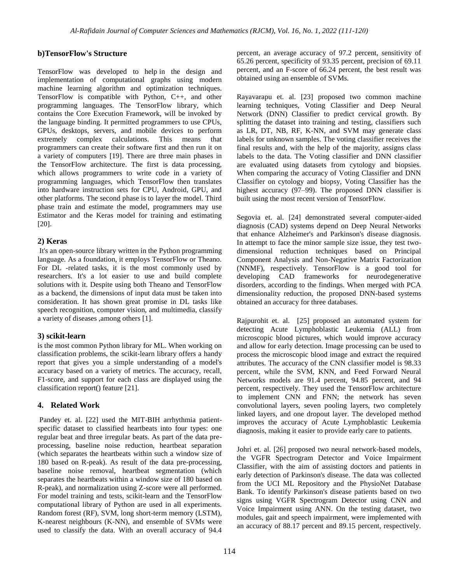## **b)TensorFlow's Structure**

TensorFlow was developed to help in the design and implementation of computational graphs using modern machine learning algorithm and optimization techniques. TensorFlow is compatible with Python, C++, and other programming languages. The TensorFlow library, which contains the Core Execution Framework, will be invoked by the language binding. It permitted programmers to use CPUs, GPUs, desktops, servers, and mobile devices to perform extremely complex calculations. This means that programmers can create their software first and then run it on a variety of computers [19]. There are three main phases in the TensorFlow architecture. The first is data processing, which allows programmers to write code in a variety of programming languages, which TensorFlow then translates into hardware instruction sets for CPU, Android, GPU, and other platforms. The second phase is to layer the model. Third phase train and estimate the model, programmers may use Estimator and the Keras model for training and estimating [20].

## **2) Keras**

It's an open-source library written in the Python programming language. As a foundation, it employs TensorFlow or Theano. For DL -related tasks, it is the most commonly used by researchers. It's a lot easier to use and build complete solutions with it. Despite using both Theano and TensorFlow as a backend, the dimensions of input data must be taken into consideration. It has shown great promise in DL tasks like speech recognition, computer vision, and multimedia, classify a variety of diseases ,among others [1].

## **3) scikit-learn**

is the most common Python library for ML. When working on classification problems, the scikit-learn library offers a handy report that gives you a simple understanding of a model's accuracy based on a variety of metrics. The accuracy, recall, F1-score, and support for each class are displayed using the classification report() feature [21].

## **4. Related Work**

Pandey et. al. [22] used the MIT-BIH arrhythmia patientspecific dataset to classified heartbeats into four types: one regular beat and three irregular beats. As part of the data preprocessing, baseline noise reduction, heartbeat separation (which separates the heartbeats within such a window size of 180 based on R-peak). As result of the data pre-processing, baseline noise removal, heartbeat segmentation (which separates the heartbeats within a window size of 180 based on R-peak), and normalization using Z-score were all performed. For model training and tests, scikit-learn and the TensorFlow computational library of Python are used in all experiments. Random forest (RF), SVM, long short-term memory (LSTM), K-nearest neighbours (K-NN), and ensemble of SVMs were used to classify the data. With an overall accuracy of 94.4 percent, an average accuracy of 97.2 percent, sensitivity of 65.26 percent, specificity of 93.35 percent, precision of 69.11 percent, and an F-score of 66.24 percent, the best result was obtained using an ensemble of SVMs.

Rayavarapu et. al. [23] proposed two common machine learning techniques, Voting Classifier and Deep Neural Network (DNN) Classifier to predict cervical growth. By splitting the dataset into training and testing, classifiers such as LR, DT, NB, RF, K-NN, and SVM may generate class labels for unknown samples. The voting classifier receives the final results and, with the help of the majority, assigns class labels to the data. The Voting classifier and DNN classifier are evaluated using datasets from cytology and biopsies. When comparing the accuracy of Voting Classifier and DNN Classifier on cytology and biopsy, Voting Classifier has the highest accuracy (97–99). The proposed DNN classifier is built using the most recent version of TensorFlow.

Segovia et. al. [24] demonstrated several computer-aided diagnosis (CAD) systems depend on Deep Neural Networks that enhance Alzheimer's and Parkinson's disease diagnosis. In attempt to face the minor sample size issue, they test twodimensional reduction techniques based on Principal Component Analysis and Non-Negative Matrix Factorization (NNMF), respectively. TensorFlow is a good tool for developing CAD frameworks for neurodegenerative disorders, according to the findings. When merged with PCA dimensionality reduction, the proposed DNN-based systems obtained an accuracy for three databases.

Rajpurohit et. al. [25] proposed an automated system for detecting Acute Lymphoblastic Leukemia (ALL) from microscopic blood pictures, which would improve accuracy and allow for early detection. Image processing can be used to process the microscopic blood image and extract the required attributes. The accuracy of the CNN classifier model is 98.33 percent, while the SVM, KNN, and Feed Forward Neural Networks models are 91.4 percent, 94.85 percent, and 94 percent, respectively. They used the TensorFlow architecture to implement CNN and FNN; the network has seven convolutional layers, seven pooling layers, two completely linked layers, and one dropout layer. The developed method improves the accuracy of Acute Lymphoblastic Leukemia diagnosis, making it easier to provide early care to patients.

Johri et. al. [26] proposed two neural network-based models, the VGFR Spectrogram Detector and Voice Impairment Classifier, with the aim of assisting doctors and patients in early detection of Parkinson's disease. The data was collected from the UCI ML Repository and the PhysioNet Database Bank. To identify Parkinson's disease patients based on two signs using VGFR Spectrogram Detector using CNN and Voice Impairment using ANN. On the testing dataset, two modules, gait and speech impairment, were implemented with an accuracy of 88.17 percent and 89.15 percent, respectively.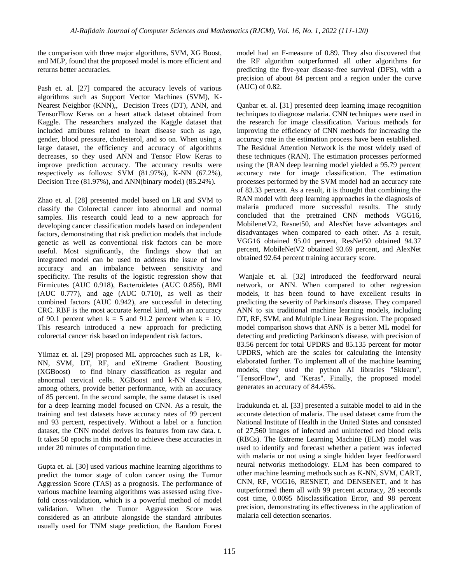the comparison with three major algorithms, SVM, XG Boost, and MLP, found that the proposed model is more efficient and returns better accuracies.

Pash et. al. [27] compared the accuracy levels of various algorithms such as Support Vector Machines (SVM), K-Nearest Neighbor (KNN),, Decision Trees (DT), ANN, and TensorFlow Keras on a heart attack dataset obtained from Kaggle. The researchers analyzed the Kaggle dataset that included attributes related to heart disease such as age, gender, blood pressure, cholesterol, and so on. When using a large dataset, the efficiency and accuracy of algorithms decreases, so they used ANN and Tensor Flow Keras to improve prediction accuracy. The accuracy results were respectively as follows: SVM (81.97%), K-NN (67.2%), Decision Tree (81.97%), and ANN(binary model) (85.24%).

Zhao et. al. [28] presented model based on LR and SVM to classify the Colorectal cancer into abnormal and normal samples. His research could lead to a new approach for developing cancer classification models based on independent factors, demonstrating that risk prediction models that include genetic as well as conventional risk factors can be more useful. Most significantly, the findings show that an integrated model can be used to address the issue of low accuracy and an imbalance between sensitivity and specificity. The results of the logistic regression show that Firmicutes (AUC 0.918), Bacteroidetes (AUC 0.856), BMI  $(AUC 0.777)$ , and age  $(AUC 0.710)$ , as well as their combined factors (AUC 0.942), are successful in detecting CRC. RBF is the most accurate kernel kind, with an accuracy of 90.1 percent when  $k = 5$  and 91.2 percent when  $k = 10$ . This research introduced a new approach for predicting colorectal cancer risk based on independent risk factors.

Yilmaz et. al. [29] proposed ML approaches such as LR, k-NN, SVM, DT, RF, and eXtreme Gradient Boosting (XGBoost) to find binary classification as regular and abnormal cervical cells. XGBoost and k-NN classifiers, among others, provide better performance, with an accuracy of 85 percent. In the second sample, the same dataset is used for a deep learning model focused on CNN. As a result, the training and test datasets have accuracy rates of 99 percent and 93 percent, respectively. Without a label or a function dataset, the CNN model derives its features from raw data. t. It takes 50 epochs in this model to achieve these accuracies in under 20 minutes of computation time.

Gupta et. al. [30] used various machine learning algorithms to predict the tumor stage of colon cancer using the Tumor Aggression Score (TAS) as a prognosis. The performance of various machine learning algorithms was assessed using fivefold cross-validation, which is a powerful method of model validation. When the Tumor Aggression Score was considered as an attribute alongside the standard attributes usually used for TNM stage prediction, the Random Forest model had an F-measure of 0.89. They also discovered that the RF algorithm outperformed all other algorithms for predicting the five-year disease-free survival (DFS), with a precision of about 84 percent and a region under the curve (AUC) of 0.82.

Qanbar et. al. [31] presented deep learning image recognition techniques to diagnose malaria. CNN techniques were used in the research for image classification. Various methods for improving the efficiency of CNN methods for increasing the accuracy rate in the estimation process have been established. The Residual Attention Network is the most widely used of these techniques (RAN). The estimation processes performed using the (RAN deep learning model yielded a 95.79 percent accuracy rate for image classification. The estimation processes performed by the SVM model had an accuracy rate of 83.33 percent. As a result, it is thought that combining the RAN model with deep learning approaches in the diagnosis of malaria produced more successful results. The study concluded that the pretrained CNN methods VGG16, MobilenetV2, Resnet50, and AlexNet have advantages and disadvantages when compared to each other. As a result, VGG16 obtained 95.04 percent, ResNet50 obtained 94.37 percent, MobileNetV2 obtained 93.69 percent, and AlexNet obtained 92.64 percent training accuracy score.

Wanjale et. al. [32] introduced the feedforward neural network, or ANN. When compared to other regression models, it has been found to have excellent results in predicting the severity of Parkinson's disease. They compared ANN to six traditional machine learning models, including DT, RF, SVM, and Multiple Linear Regression. The proposed model comparison shows that ANN is a better ML model for detecting and predicting Parkinson's disease, with precision of 83.56 percent for total UPDRS and 85.135 percent for motor UPDRS, which are the scales for calculating the intensity elaborated further. To implement all of the machine learning models, they used the python AI libraries "Sklearn", "TensorFlow", and "Keras". Finally, the proposed model generates an accuracy of 84.45%.

Iradukunda et. al. [33] presented a suitable model to aid in the accurate detection of malaria. The used dataset came from the National Institute of Health in the United States and consisted of 27,560 images of infected and uninfected red blood cells (RBCs). The Extreme Learning Machine (ELM) model was used to identify and forecast whether a patient was infected with malaria or not using a single hidden layer feedforward neural networks methodology. ELM has been compared to other machine learning methods such as K-NN, SVM, CART, CNN, RF, VGG16, RESNET, and DENSENET, and it has outperformed them all with 99 percent accuracy, 28 seconds cost time, 0.0095 Misclassification Error, and 98 percent precision, demonstrating its effectiveness in the application of malaria cell detection scenarios.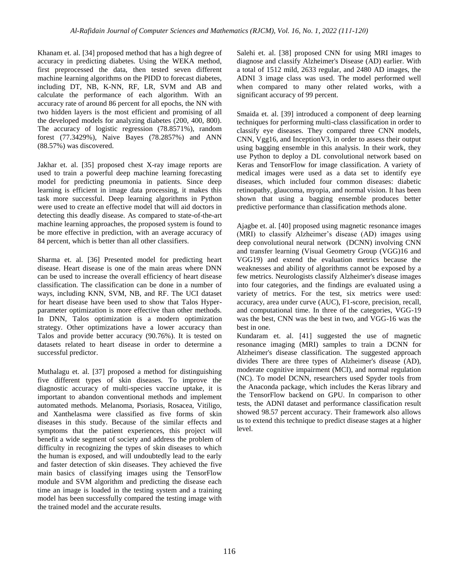Khanam et. al. [34] proposed method that has a high degree of accuracy in predicting diabetes. Using the WEKA method, first preprocessed the data, then tested seven different machine learning algorithms on the PIDD to forecast diabetes, including DT, NB, K-NN, RF, LR, SVM and AB and calculate the performance of each algorithm. With an accuracy rate of around 86 percent for all epochs, the NN with two hidden layers is the most efficient and promising of all the developed models for analyzing diabetes (200, 400, 800). The accuracy of logistic regression (78.8571%), random forest (77.3429%), Naive Bayes (78.2857%) and ANN (88.57%) was discovered.

Jakhar et. al. [35] proposed chest X-ray image reports are used to train a powerful deep machine learning forecasting model for predicting pneumonia in patients. Since deep learning is efficient in image data processing, it makes this task more successful. Deep learning algorithms in Python were used to create an effective model that will aid doctors in detecting this deadly disease. As compared to state-of-the-art machine learning approaches, the proposed system is found to be more effective in prediction, with an average accuracy of 84 percent, which is better than all other classifiers.

Sharma et. al. [36] Presented model for predicting heart disease. Heart disease is one of the main areas where DNN can be used to increase the overall efficiency of heart disease classification. The classification can be done in a number of ways, including KNN, SVM, NB, and RF. The UCI dataset for heart disease have been used to show that Talos Hyperparameter optimization is more effective than other methods. In DNN, Talos optimization is a modern optimization strategy. Other optimizations have a lower accuracy than Talos and provide better accuracy (90.76%). It is tested on datasets related to heart disease in order to determine a successful predictor.

Muthalagu et. al. [37] proposed a method for distinguishing five different types of skin diseases. To improve the diagnostic accuracy of multi-species vaccine uptake, it is important to abandon conventional methods and implement automated methods. Melanoma, Psoriasis, Rosacea, Vitiligo, and Xanthelasma were classified as five forms of skin diseases in this study. Because of the similar effects and symptoms that the patient experiences, this project will benefit a wide segment of society and address the problem of difficulty in recognizing the types of skin diseases to which the human is exposed, and will undoubtedly lead to the early and faster detection of skin diseases. They achieved the five main basics of classifying images using the TensorFlow module and SVM algorithm and predicting the disease each time an image is loaded in the testing system and a training model has been successfully compared the testing image with the trained model and the accurate results.

Salehi et. al. [38] proposed CNN for using MRI images to diagnose and classify Alzheimer's Disease (AD) earlier. With a total of 1512 mild, 2633 regular, and 2480 AD images, the ADNI 3 image class was used. The model performed well when compared to many other related works, with a significant accuracy of 99 percent.

Smaida et. al. [39] introduced a component of deep learning techniques for performing multi-class classification in order to classify eye diseases. They compared three CNN models, CNN, Vgg16, and InceptionV3, in order to assess their output using bagging ensemble in this analysis. In their work, they use Python to deploy a DL convolutional network based on Keras and TensorFlow for image classification. A variety of medical images were used as a data set to identify eye diseases, which included four common diseases: diabetic retinopathy, glaucoma, myopia, and normal vision. It has been shown that using a bagging ensemble produces better predictive performance than classification methods alone.

Ajagbe et. al. [40] proposed using magnetic resonance images (MRI) to classify Alzheimer's disease (AD) images using deep convolutional neural network (DCNN) involving CNN and transfer learning (Visual Geometry Group (VGG)16 and VGG19) and extend the evaluation metrics because the weaknesses and ability of algorithms cannot be exposed by a few metrics. Neurologists classify Alzheimer's disease images into four categories, and the findings are evaluated using a variety of metrics. For the test, six metrics were used: accuracy, area under curve (AUC), F1-score, precision, recall, and computational time. In three of the categories, VGG-19 was the best, CNN was the best in two, and VGG-16 was the best in one.

Kundaram et. al. [41] suggested the use of magnetic resonance imaging (MRI) samples to train a DCNN for Alzheimer's disease classification. The suggested approach divides There are three types of Alzheimer's disease (AD), moderate cognitive impairment (MCI), and normal regulation (NC). To model DCNN, researchers used Spyder tools from the Anaconda package, which includes the Keras library and the TensorFlow backend on GPU. In comparison to other tests, the ADNI dataset and performance classification result showed 98.57 percent accuracy. Their framework also allows us to extend this technique to predict disease stages at a higher level.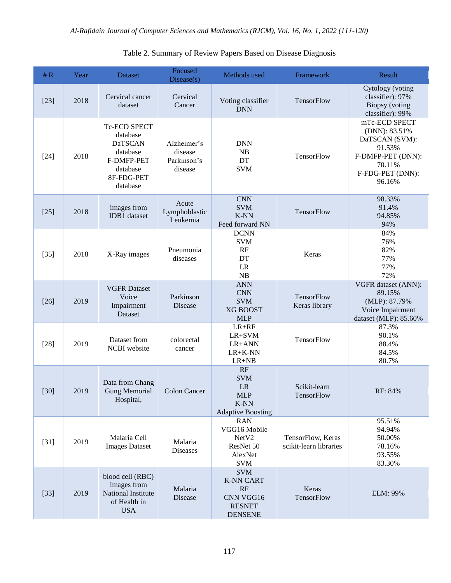| # $R$  | Year | <b>Dataset</b>                                                                                             | Focused<br>Disease(s)                            | Methods used                                                                         | Framework                                   | Result                                                                                                                  |
|--------|------|------------------------------------------------------------------------------------------------------------|--------------------------------------------------|--------------------------------------------------------------------------------------|---------------------------------------------|-------------------------------------------------------------------------------------------------------------------------|
| $[23]$ | 2018 | Cervical cancer<br>dataset                                                                                 | Cervical<br>Cancer                               | Voting classifier<br><b>DNN</b>                                                      | TensorFlow                                  | Cytology (voting<br>classifier): 97%<br>Biopsy (voting<br>classifier): 99%                                              |
| $[24]$ | 2018 | Tc-ECD SPECT<br>database<br><b>DaTSCAN</b><br>database<br>F-DMFP-PET<br>database<br>8F-FDG-PET<br>database | Alzheimer's<br>disease<br>Parkinson's<br>disease | <b>DNN</b><br>NB<br>DT<br><b>SVM</b>                                                 | TensorFlow                                  | mTc-ECD SPECT<br>(DNN): 83.51%<br>DaTSCAN (SVM):<br>91.53%<br>F-DMFP-PET (DNN):<br>70.11%<br>F-FDG-PET (DNN):<br>96.16% |
| $[25]$ | 2018 | images from<br><b>IDB1</b> dataset                                                                         | Acute<br>Lymphoblastic<br>Leukemia               | <b>CNN</b><br><b>SVM</b><br>$K-NN$<br>Feed forward NN                                | TensorFlow                                  | 98.33%<br>91.4%<br>94.85%<br>94%                                                                                        |
| $[35]$ | 2018 | X-Ray images                                                                                               | Pneumonia<br>diseases                            | <b>DCNN</b><br><b>SVM</b><br>RF<br>DT<br>$\rm LR$<br>NB                              | Keras                                       | 84%<br>76%<br>82%<br>77%<br>77%<br>72%                                                                                  |
| $[26]$ | 2019 | <b>VGFR Dataset</b><br>Voice<br>Impairment<br>Dataset                                                      | Parkinson<br>Disease                             | <b>ANN</b><br><b>CNN</b><br><b>SVM</b><br><b>XG BOOST</b><br><b>MLP</b>              | TensorFlow<br>Keras library                 | VGFR dataset (ANN):<br>89.15%<br>(MLP): 87.79%<br>Voice Impairment<br>dataset (MLP): 85.60%                             |
| $[28]$ | 2019 | Dataset from<br>NCBI website                                                                               | colorectal<br>cancer                             | $LR+RF$<br>$LR+SVM$<br>LR+ANN<br>$LR+K-NN$<br>$LR+NB$                                | TensorFlow                                  | 87.3%<br>90.1%<br>88.4%<br>84.5%<br>80.7%                                                                               |
| $[30]$ | 2019 | Data from Chang<br><b>Gung Memorial</b><br>Hospital,                                                       | <b>Colon Cancer</b>                              | RF<br><b>SVM</b><br>LR<br><b>MLP</b><br>K-NN<br><b>Adaptive Boosting</b>             | Scikit-learn<br>TensorFlow                  | RF: 84%                                                                                                                 |
| $[31]$ | 2019 | Malaria Cell<br><b>Images Dataset</b>                                                                      | Malaria<br><b>Diseases</b>                       | <b>RAN</b><br>VGG16 Mobile<br>NetV2<br>ResNet 50<br>AlexNet<br><b>SVM</b>            | TensorFlow, Keras<br>scikit-learn libraries | 95.51%<br>94.94%<br>50.00%<br>78.16%<br>93.55%<br>83.30%                                                                |
| $[33]$ | 2019 | blood cell (RBC)<br>images from<br>National Institute<br>of Health in<br><b>USA</b>                        | Malaria<br>Disease                               | <b>SVM</b><br><b>K-NN CART</b><br>RF<br>CNN VGG16<br><b>RESNET</b><br><b>DENSENE</b> | Keras<br>TensorFlow                         | ELM: 99%                                                                                                                |

# Table 2. Summary of Review Papers Based on Disease Diagnosis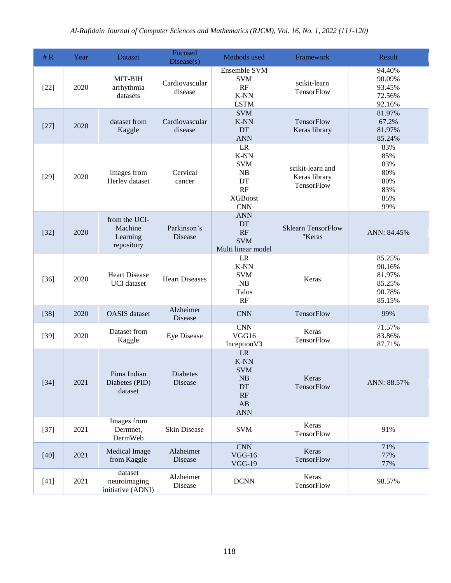| # $R$  | Year | <b>Dataset</b>                                     | Focused<br>Disease(s)         | Methods used                                                                         | Framework                                       | Result                                                   |
|--------|------|----------------------------------------------------|-------------------------------|--------------------------------------------------------------------------------------|-------------------------------------------------|----------------------------------------------------------|
| $[22]$ | 2020 | $MIT-BIH$<br>arrhythmia<br>datasets                | Cardiovascular<br>disease     | <b>Ensemble SVM</b><br><b>SVM</b><br>RF<br>K-NN<br><b>LSTM</b>                       | scikit-learn<br>TensorFlow                      | 94.40%<br>90.09%<br>93.45%<br>72.56%<br>92.16%           |
| $[27]$ | 2020 | dataset from<br>Kaggle                             | Cardiovascular<br>disease     | <b>SVM</b><br>K-NN<br><b>DT</b><br><b>ANN</b>                                        | TensorFlow<br>Keras library                     | 81.97%<br>67.2%<br>81.97%<br>85.24%                      |
| $[29]$ | 2020 | images from<br>Herlev dataset                      | Cervical<br>cancer            | LR<br>$K-NN$<br><b>SVM</b><br>NB<br>DT<br>RF<br><b>XGBoost</b><br><b>CNN</b>         | scikit-learn and<br>Keras library<br>TensorFlow | 83%<br>85%<br>83%<br>80%<br>80%<br>83%<br>85%<br>99%     |
| $[32]$ | 2020 | from the UCI-<br>Machine<br>Learning<br>repository | Parkinson's<br><b>Disease</b> | <b>ANN</b><br><b>DT</b><br>RF<br><b>SVM</b><br>Multi linear model                    | <b>Sklearn TensorFlow</b><br>"Keras             | ANN: 84.45%                                              |
| $[36]$ | 2020 | <b>Heart Disease</b><br><b>UCI</b> dataset         | <b>Heart Diseases</b>         | LR<br>K-NN<br><b>SVM</b><br>NB<br>Talos<br>RF                                        | Keras                                           | 85.25%<br>90.16%<br>81.97%<br>85.25%<br>90.78%<br>85.15% |
| $[38]$ | 2020 | <b>OASIS</b> dataset                               | Alzheimer<br><b>Disease</b>   | <b>CNN</b>                                                                           | TensorFlow                                      | 99%                                                      |
| $[39]$ | 2020 | Dataset from<br>Kaggle                             | <b>Eye Disease</b>            | <b>CNN</b><br>VGG16<br>Inception V3                                                  | Keras<br>TensorFlow                             | 71.57%<br>83.86%<br>87.71%                               |
| $[34]$ | 2021 | Pima Indian<br>Diabetes (PID)<br>dataset           | <b>Diabetes</b><br>Disease    | LR<br>$K-NN$<br><b>SVM</b><br>NB<br>DT<br>RF<br>$\mathbf{A}\mathbf{B}$<br><b>ANN</b> | Keras<br>TensorFlow                             | ANN: 88.57%                                              |
| $[37]$ | 2021 | Images from<br>Dermnet,<br>DermWeb                 | Skin Disease                  | <b>SVM</b>                                                                           | Keras<br>TensorFlow                             | 91%                                                      |
| $[40]$ | 2021 | Medical Image<br>from Kaggle                       | Alzheimer<br>Disease          | <b>CNN</b><br>$VGG-16$<br>$VGG-19$                                                   | Keras<br>TensorFlow                             | 71%<br>77%<br>77%                                        |
| $[41]$ | 2021 | dataset<br>neuroimaging<br>initiative (ADNI)       | Alzheimer<br>Disease          | <b>DCNN</b>                                                                          | Keras<br>TensorFlow                             | 98.57%                                                   |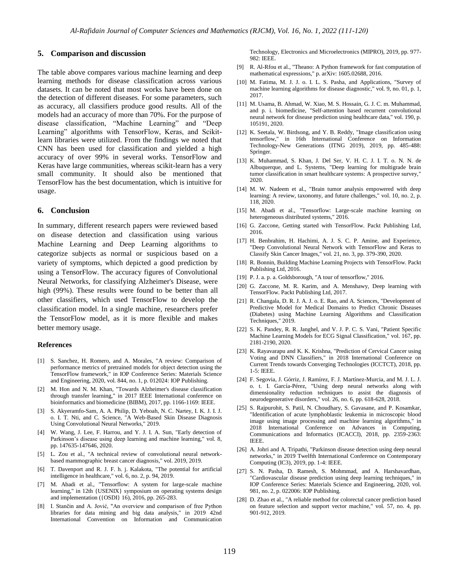#### **5. Comparison and discussion**

The table above compares various machine learning and deep learning methods for disease classification across various datasets. It can be noted that most works have been done on the detection of different diseases. For some parameters, such as accuracy, all classifiers produce good results. All of the models had an accuracy of more than 70%. For the purpose of disease classification, "Machine Learning" and "Deep Learning" algorithms with TensorFlow, Keras, and Scikitlearn libraries were utilized. From the findings we noted that CNN has been used for classification and yielded a high accuracy of over 99% in several works. TensorFlow and Keras have large communities, whereas scikit-learn has a very small community. It should also be mentioned that TensorFlow has the best documentation, which is intuitive for usage.

## **6. Conclusion**

In summary, different research papers were reviewed based on disease detection and classification using various Machine Learning and Deep Learning algorithms to categorize subjects as normal or suspicious based on a variety of symptoms, which depicted a good prediction by using a TensorFlow. The accuracy figures of Convolutional Neural Networks, for classifying Alzheimer's Disease, were high (99%). These results were found to be better than all other classifiers, which used TensorFlow to develop the classification model. In a single machine, researchers prefer the TensorFlow model, as it is more flexible and makes better memory usage.

#### **References**

- [1] S. Sanchez, H. Romero, and A. Morales, "A review: Comparison of performance metrics of pretrained models for object detection using the TensorFlow framework," in IOP Conference Series: Materials Science and Engineering, 2020, vol. 844, no. 1, p. 012024: IOP Publishing.
- [2] M. Hon and N. M. Khan, "Towards Alzheimer's disease classification through transfer learning," in 2017 IEEE International conference on bioinformatics and biomedicine (BIBM), 2017, pp. 1166-1169: IEEE.
- [3] S. Akyeramfo-Sam, A. A. Philip, D. Yeboah, N. C. Nartey, I. K. J. I. J. o. I. T. Nti, and C. Science, "A Web-Based Skin Disease Diagnosis Using Convolutional Neural Networks," 2019.
- [4] W. Wang, J. Lee, F. Harrou, and Y. J. I. A. Sun, "Early detection of Parkinson's disease using deep learning and machine learning," vol. 8, pp. 147635-147646, 2020.
- [5] L. Zou et al., "A technical review of convolutional neural networkbased mammographic breast cancer diagnosis," vol. 2019, 2019.
- [6] T. Davenport and R. J. F. h. j. Kalakota, "The potential for artificial intelligence in healthcare," vol. 6, no. 2, p. 94, 2019.
- [7] M. Abadi et al., "Tensorflow: A system for large-scale machine learning," in 12th {USENIX} symposium on operating systems design and implementation ({OSDI} 16), 2016, pp. 265-283.
- [8] I. Stančin and A. Jović, "An overview and comparison of free Python libraries for data mining and big data analysis," in 2019 42nd International Convention on Information and Communication

Technology, Electronics and Microelectronics (MIPRO), 2019, pp. 977- 982: IEEE.

- [9] R. Al-Rfou et al., "Theano: A Python framework for fast computation of mathematical expressions," p. arXiv: 1605.02688, 2016.
- [10] M. Fatima, M. J. J. o. I. L. S. Pasha, and Applications, "Survey of machine learning algorithms for disease diagnostic," vol. 9, no. 01, p. 1, 2017.
- [11] M. Usama, B. Ahmad, W. Xiao, M. S. Hossain, G. J. C. m. Muhammad, and p. i. biomedicine, "Self-attention based recurrent convolutional neural network for disease prediction using healthcare data," vol. 190, p. 105191, 2020.
- [12] K. Seetala, W. Birdsong, and Y. B. Reddy, "Image classification using tensorflow," in 16th International Conference on Information Technology-New Generations (ITNG 2019), 2019, pp. 485-488: Springer.
- [13] K. Muhammad, S. Khan, J. Del Ser, V. H. C. J. I. T. o. N. N. de Albuquerque, and L. Systems, "Deep learning for multigrade brain tumor classification in smart healthcare systems: A prospective survey," 2020.
- [14] M. W. Nadeem et al., "Brain tumor analysis empowered with deep learning: A review, taxonomy, and future challenges," vol. 10, no. 2, p. 118, 2020.
- [15] M. Abadi et al., "Tensorflow: Large-scale machine learning on heterogeneous distributed systems," 2016.
- [16] G. Zaccone, Getting started with TensorFlow. Packt Publishing Ltd, 2016.
- [17] H. Benbrahim, H. Hachimi, A. J. S. C. P. Amine, and Experience, "Deep Convolutional Neural Network with TensorFlow and Keras to Classify Skin Cancer Images," vol. 21, no. 3, pp. 379-390, 2020.
- [18] R. Bonnin, Building Machine Learning Projects with TensorFlow. Packt Publishing Ltd, 2016.
- [19] P. J. a. p. a. Goldsborough, "A tour of tensorflow," 2016.
- [20] G. Zaccone, M. R. Karim, and A. Menshawy, Deep learning with TensorFlow. Packt Publishing Ltd, 2017.
- [21] R. Changala, D. R. J. A. J. o. E. Rao, and A. Sciences, "Development of Predictive Model for Medical Domains to Predict Chronic Diseases (Diabetes) using Machine Learning Algorithms and Classification Techniques," 2019.
- [22] S. K. Pandey, R. R. Janghel, and V. J. P. C. S. Vani, "Patient Specific Machine Learning Models for ECG Signal Classification," vol. 167, pp. 2181-2190, 2020.
- [23] K. Rayavarapu and K. K. Krishna, "Prediction of Cervical Cancer using Voting and DNN Classifiers," in 2018 International Conference on Current Trends towards Converging Technologies (ICCTCT), 2018, pp. 1-5: IEEE.
- [24] F. Segovia, J. Górriz, J. Ramírez, F. J. Martínez-Murcia, and M. J. L. J. o. t. I. García-Pérez, "Using deep neural networks along with dimensionality reduction techniques to assist the diagnosis of neurodegenerative disorders," vol. 26, no. 6, pp. 618-628, 2018.
- [25] S. Rajpurohit, S. Patil, N. Choudhary, S. Gavasane, and P. Kosamkar, "Identification of acute lymphoblastic leukemia in microscopic blood image using image processing and machine learning algorithms," in 2018 International Conference on Advances in Computing, Communications and Informatics (ICACCI), 2018, pp. 2359-2363: IEEE.
- [26] A. Johri and A. Tripathi, "Parkinson disease detection using deep neural networks," in 2019 Twelfth International Conference on Contemporary Computing (IC3), 2019, pp. 1-4: IEEE.
- [27] S. N. Pasha, D. Ramesh, S. Mohmmad, and A. Harshavardhan, 'Cardiovascular disease prediction using deep learning techniques," in IOP Conference Series: Materials Science and Engineering, 2020, vol. 981, no. 2, p. 022006: IOP Publishing.
- [28] D. Zhao et al., "A reliable method for colorectal cancer prediction based on feature selection and support vector machine," vol. 57, no. 4, pp. 901-912, 2019.